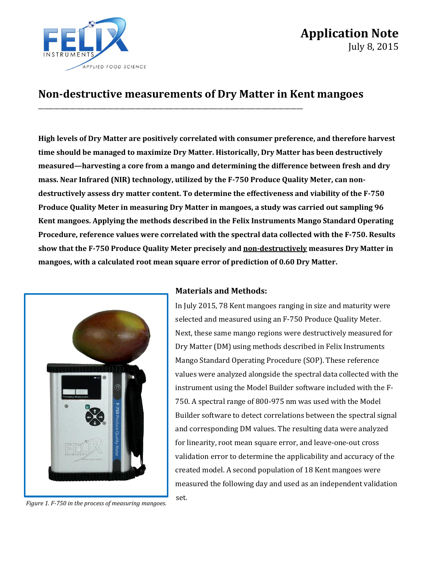

# **Application Note** July 8, 2015

## **Non-destructive measurements of Dry Matter in Kent mangoes**

\_\_\_\_\_\_\_\_\_\_\_\_\_\_\_\_\_\_\_\_\_\_\_\_\_\_\_\_\_\_\_\_\_\_\_\_\_\_\_\_\_\_\_\_\_\_\_\_\_\_\_\_\_\_\_\_\_\_\_\_\_\_\_\_\_\_\_\_\_\_\_\_\_\_\_\_\_\_\_\_\_\_\_\_

**High levels of Dry Matter are positively correlated with consumer preference, and therefore harvest time should be managed to maximize Dry Matter. Historically, Dry Matter has been destructively measured—harvesting a core from a mango and determining the difference between fresh and dry mass. Near Infrared (NIR) technology, utilized by the F-750 Produce Quality Meter, can nondestructively assess dry matter content. To determine the effectiveness and viability of the F-750 Produce Quality Meter in measuring Dry Matter in mangoes, a study was carried out sampling 96 Kent mangoes. Applying the methods described in the Felix Instruments Mango Standard Operating Procedure, reference values were correlated with the spectral data collected with the F-750. Results show that the F-750 Produce Quality Meter precisely and non-destructively measures Dry Matter in mangoes, with a calculated root mean square error of prediction of 0.60 Dry Matter.** 



#### **Materials and Methods:**

In July 2015, 78 Kent mangoes ranging in size and maturity were selected and measured using an F-750 Produce Quality Meter. Next, these same mango regions were destructively measured for Dry Matter (DM) using methods described in Felix Instruments Mango Standard Operating Procedure (SOP). These reference values were analyzed alongside the spectral data collected with the instrument using the Model Builder software included with the F-750. A spectral range of 800-975 nm was used with the Model Builder software to detect correlations between the spectral signal and corresponding DM values. The resulting data were analyzed for linearity, root mean square error, and leave-one-out cross validation error to determine the applicability and accuracy of the created model. A second population of 18 Kent mangoes were measured the following day and used as an independent validation set.

*Figure 1. F-750 in the process of measuring mangoes.*